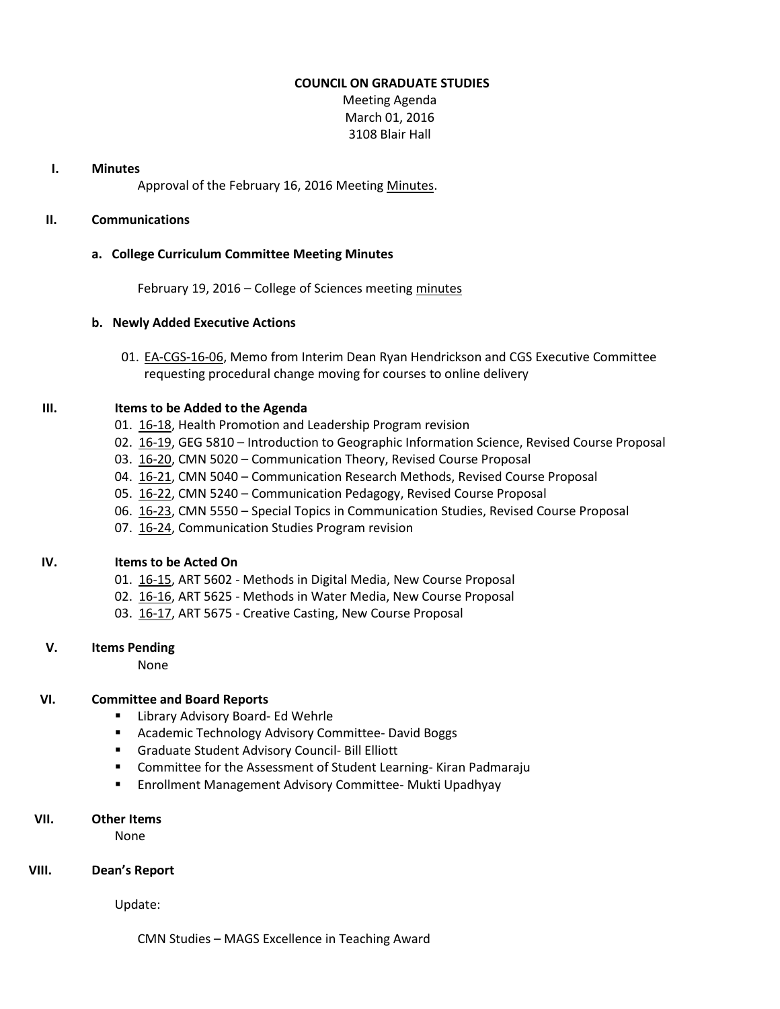#### **COUNCIL ON GRADUATE STUDIES**

Meeting Agenda March 01, 2016 3108 Blair Hall

#### **I. Minutes**

Approval of the February 16, 2016 Meetin[g Minutes.](http://castle.eiu.edu/eiucgs/currentminutes/Minutes02-16-16.pdf)

## **II. Communications**

#### **a. College Curriculum Committee Meeting Minutes**

February 19, 2016 – College of Sciences meetin[g minutes](http://castle.eiu.edu/~eiucgs/currentagendaitems/COSMin02-19-16.pdf)

#### **b. Newly Added Executive Actions**

01. [EA-CGS-16-06,](http://castle.eiu.edu/~eiucgs/exec-actions/EA-CGS-16-06.pdf) Memo from Interim Dean Ryan Hendrickson and CGS Executive Committee requesting procedural change moving for courses to online delivery

#### **III. Items to be Added to the Agenda**

- 01. [16-18,](http://castle.eiu.edu/~eiucgs/currentagendaitems/agenda16-18.pdf) Health Promotion and Leadership Program revision
- 02. [16-19,](http://castle.eiu.edu/~eiucgs/currentagendaitems/agenda16-19.pdf) GEG 5810 Introduction to Geographic Information Science, Revised Course Proposal
- 03. [16-20,](http://castle.eiu.edu/~eiucgs/currentagendaitems/agenda16-20.pdf) CMN 5020 Communication Theory, Revised Course Proposal
- 04. [16-21,](http://castle.eiu.edu/~eiucgs/currentagendaitems/agenda16-21.pdf) CMN 5040 Communication Research Methods, Revised Course Proposal
- 05. [16-22,](http://castle.eiu.edu/~eiucgs/currentagendaitems/agenda16-22.pdf) CMN 5240 Communication Pedagogy, Revised Course Proposal
- 06. [16-23,](http://castle.eiu.edu/~eiucgs/currentagendaitems/agenda16-23.pdf) CMN 5550 Special Topics in Communication Studies, Revised Course Proposal
- 07. [16-24,](http://castle.eiu.edu/~eiucgs/currentagendaitems/agenda16-24.pdf) Communication Studies Program revision

## **IV. Items to be Acted On**

- 01. [16-15,](http://castle.eiu.edu/~eiucgs/currentagendaitems/agenda16-15.pdf) ART 5602 Methods in Digital Media, New Course Proposal
- 02. [16-16,](http://castle.eiu.edu/~eiucgs/currentagendaitems/agenda16-16.pdf) ART 5625 Methods in Water Media, New Course Proposal
- 03. [16-17,](http://castle.eiu.edu/~eiucgs/currentagendaitems/agenda16-17.pdf) ART 5675 Creative Casting, New Course Proposal

## **V. Items Pending**

None

## **VI. Committee and Board Reports**

- **E** Library Advisory Board- Ed Wehrle
- **E** Academic Technology Advisory Committee- David Boggs
- Graduate Student Advisory Council- Bill Elliott
- **EXTER** Committee for the Assessment of Student Learning-Kiran Padmaraju
- **Enrollment Management Advisory Committee- Mukti Upadhyay**

# **VII. Other Items**

None

## **VIII. Dean's Report**

Update:

CMN Studies – MAGS Excellence in Teaching Award